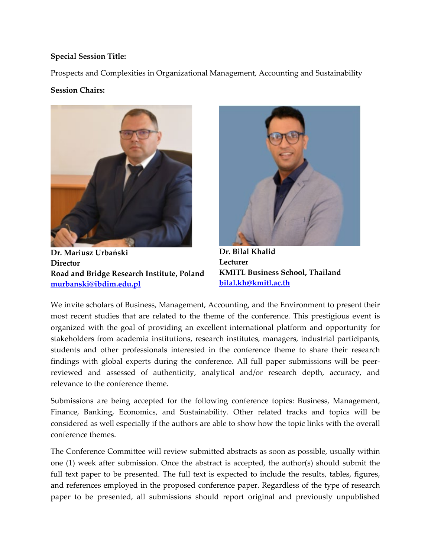## **Special Session Title:**

Prospects and Complexities in Organizational Management, Accounting and Sustainability

## **Session Chairs:**



**Dr. Mariusz Urbański Director Road and Bridge Research Institute, Poland [murbanski@ibdim.edu.pl](mailto:murbanski@ibdim.edu.pl)**



**Dr. Bilal Khalid Lecturer KMITL Business School, Thailand [bilal.kh@kmitl.ac.th](mailto:bilal.kh@kmitl.ac.th)**

We invite scholars of Business, Management, Accounting, and the Environment to present their most recent studies that are related to the theme of the conference. This prestigious event is organized with the goal of providing an excellent international platform and opportunity for stakeholders from academia institutions, research institutes, managers, industrial participants, students and other professionals interested in the conference theme to share their research findings with global experts during the conference. All full paper submissions will be peerreviewed and assessed of authenticity, analytical and/or research depth, accuracy, and relevance to the conference theme.

Submissions are being accepted for the following conference topics: Business, Management, Finance, Banking, Economics, and Sustainability. Other related tracks and topics will be considered as well especially if the authors are able to show how the topic links with the overall conference themes.

The Conference Committee will review submitted abstracts as soon as possible, usually within one (1) week after submission. Once the abstract is accepted, the author(s) should submit the full text paper to be presented. The full text is expected to include the results, tables, figures, and references employed in the proposed conference paper. Regardless of the type of research paper to be presented, all submissions should report original and previously unpublished